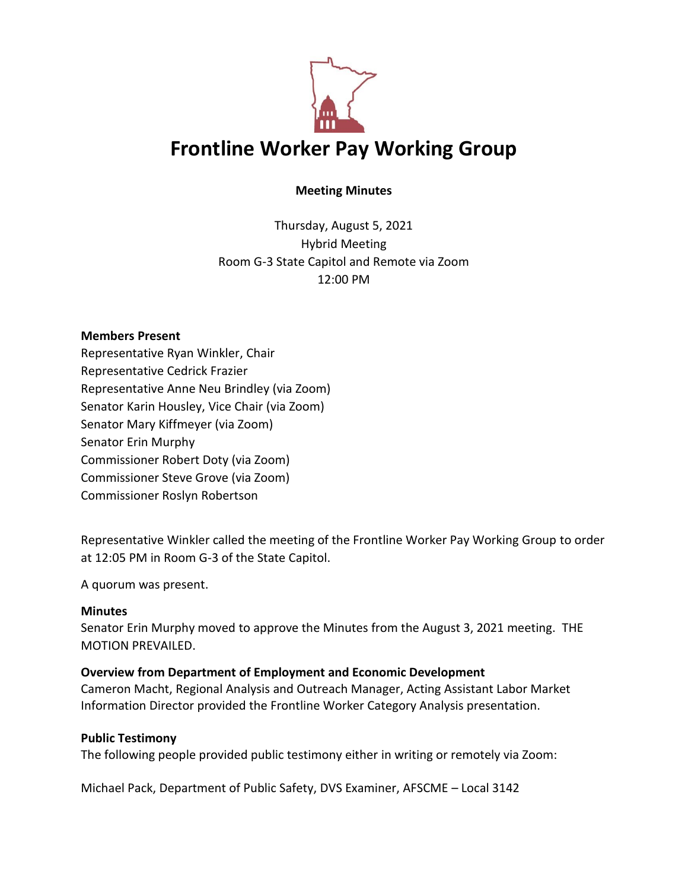

# **Meeting Minutes**

Thursday, August 5, 2021 Hybrid Meeting Room G-3 State Capitol and Remote via Zoom 12:00 PM

### **Members Present**

Representative Ryan Winkler, Chair Representative Cedrick Frazier Representative Anne Neu Brindley (via Zoom) Senator Karin Housley, Vice Chair (via Zoom) Senator Mary Kiffmeyer (via Zoom) Senator Erin Murphy Commissioner Robert Doty (via Zoom) Commissioner Steve Grove (via Zoom) Commissioner Roslyn Robertson

Representative Winkler called the meeting of the Frontline Worker Pay Working Group to order at 12:05 PM in Room G-3 of the State Capitol.

A quorum was present.

## **Minutes**

Senator Erin Murphy moved to approve the Minutes from the August 3, 2021 meeting. THE MOTION PREVAILED.

## **Overview from Department of Employment and Economic Development**

Cameron Macht, Regional Analysis and Outreach Manager, Acting Assistant Labor Market Information Director provided the Frontline Worker Category Analysis presentation.

## **Public Testimony**

The following people provided public testimony either in writing or remotely via Zoom:

Michael Pack, Department of Public Safety, DVS Examiner, AFSCME – Local 3142